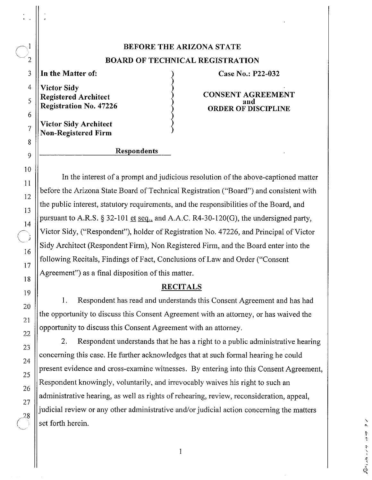# **BEFORE THE ARIZONA STATE BOARD OF TECHNICAL REGISTRATION**

**Victor Sidy** 

**Victor Sidy Architect Non-Registered Firm** 

### **In the Matter of: Case No.: P22-032**

**Registered Architect CONSENT AGREEMENT ORDER OF DISCIPLINE** 

> $\mathbf{v}$ t I

#### **Respondents**

In the interest of a prompt and judicious resolution of the above-captioned matter before the Arizona State Board of Technical Registration ("Board") and consistent with the public interest, statutory requirements, and the responsibilities of the Board, and pursuant to A.R.S. § 32-101 et seq., and A.A.C. R4-30-120(G), the undersigned party, Victor Sidy, ("Respondent"), holder of Registration No. 47226, and Principal of Victor Sidy Architect (Respondent Firm), Non Registered Firm, and the Board enter into the following Recitals, Findings of Fact, Conclusions of Law and Order ("Consent Agreement") as a final disposition of this matter.

#### **RECITALS**

1. Respondent has read and understands this Consent Agreement and has had the opportunity to discuss this Consent Agreement with an attorney, or has waived the opportunity to discuss this Consent Agreement with an attorney.

2. Respondent understands that he has a right to a public administrative hearing concerning this case. He further acknowledges that at such formal hearing he could present evidence and cross-examine witnesses. By entering into this Consent Agreement, Respondent knowingly, voluntarily, and irrevocably waives his right to such an administrative hearing, as well as rights of rehearing, review, reconsideration, appeal, judicial review or any other administrative and/or judicial action concerning the matters set forth herein.

 $\mathbf{1}$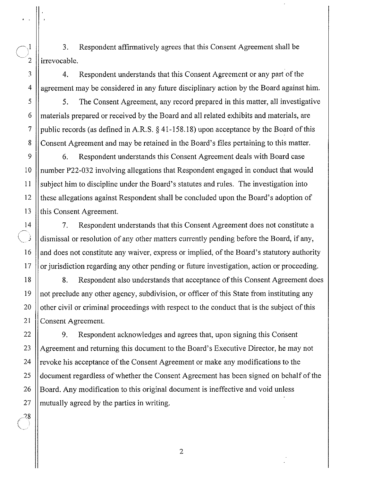$\begin{array}{c} 1 \ 3 \ \end{array}$  Respondent affirmatively agrees that this Consent Agreement shall be  $\begin{array}{c} 2 \end{array}$  irrevocable.

3 4. Respondent understands that this Consent Agreement or any part of the 4 agreement may be considered in any future disciplinary action by the Board against him.

5 5. The Consent Agreement, any record prepared in this matter, all investigative  $6 \parallel$  materials prepared or received by the Board and all related exhibits and materials, are 7 || public records (as defined in A.R.S.  $\S$  [41-158.18\)](https://41-158.18) upon acceptance by the Board of this 8 Consent Agreement and may be retained in the Board's files pertaining to this matter.

9 | 6. Respondent understands this Consent Agreement deals with Board case 10 number P22-032 involving allegations that Respondent engaged in conduct that would 11 subject him to discipline under the Board's statutes and rules. The investigation into 12 these allegations against Respondent shall be concluded upon the Board's adoption of 13 this Consent Agreement.

14 7. Respondent understands that this Consent Agreement does not constitute a dismissal or resolution of any other matters currently pending before the Board, if any, 16 | and does not constitute any waiver, express or implied, of the Board's statutory authority  $17$  || or jurisdiction regarding any other pending or future investigation, action or proceeding.

18 || 8. Respondent also understands that acceptance of this Consent Agreement does 19 not preclude any other agency, subdivision, or officer of this State from instituting any 20  $\parallel$  other civil or criminal proceedings with respect to the conduct that is the subject of this 21 || Consent Agreement.

22 | 9. Respondent acknowledges and agrees that, upon signing this Consent 23 Agreement and returning this document to the Board's Executive Director, he may not 24  $\parallel$  revoke his acceptance of the Consent Agreement or make any modifications to the 25 document regardless of whether the Consent Agreement has been signed on behalf of the 26 Secondary 26 Secondary modification to this original document is ineffective and void unless  $27$  || mutually agreed by the parties in writing.

2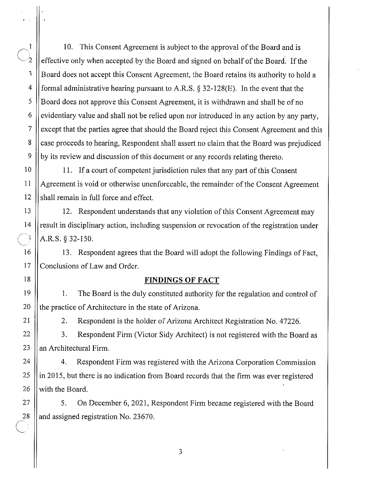1 | 10. This Consent Agreement is subject to the approval of the Board and is effective only when accepted by the Board and signed on behalf of the Board. If the  $\frac{3}{18}$  ||Board does not accept this Consent Agreement, the Board retains its authority to hold a 4 | formal administrative hearing pursuant to A.R.S.  $\S$  32-128(E). In the event that the  $5 \parallel$  Board does not approve this Consent Agreement, it is withdrawn and shall be of no  $6 \parallel$  evidentiary value and shall not be relied upon nor introduced in any action by any party, 7 | except that the parties agree that should the Board reject this Consent Agreement and this 8 case proceeds to hearing, Respondent shall assert no claim that the Board was prejudiced 9 by its review and discussion of this document or any records relating thereto.

10 11. Ifa court of competent jurisdiction rules that any part of this Consent 11 Agreement is void or otherwise unenforceable, the remainder ofthe Consent Agreement 12 || shall remain in full force and effect.

13 12. Respondent understands that any violation of this Consent Agreement may 14 || result in disciplinary action, including suspension or revocation of the registration under A.R.S. § 32-150.

16 13. Respondent agrees that the Board will adopt the following Findings of Fact, 17 Conclusions of Law and Order.

## 18 **FINDINGS OF FACT**

19 I. The Board is the duly constituted authority for the regulation and control of 20  $\parallel$  the practice of Architecture in the state of Arizona.

21 | 2. Respondent is the holder of Arizona Architect Registration No. 47226.

22 | 3. Respondent Firm (Victor Sidy Architect) is not registered with the Board as  $23$  || an Architectural Firm.

24 | 4. Respondent Firm was registered with the Arizona Corporation Commission  $25$  || in 2015, but there is no indication from Board records that the firm was ever registered  $26$  || with the Board.

27 | S. On December 6, 2021, Respondent Firm became registered with the Board 28  $\parallel$  and assigned registration No. 23670.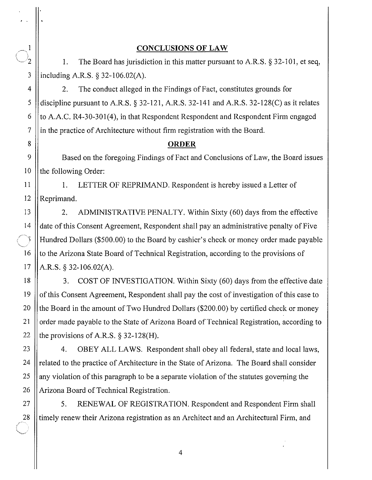#### **CONCLUSIONS OF LAW**

I. The Board has jurisdiction in this matter pursuant to A.R. S. § 32-101, et seq, including A.R.S. § 32-106.02(A).

2. The conduct alleged in the Findings of Fact, constitutes grounds for discipline pursuant to A.R.S.  $\S 32-121$ , A.R.S. 32-141 and A.R.S. 32-128(C) as it relates to A.A.C. R4-30-301(4), in that Respondent Respondent and Respondent Firm engaged in the practice of Architecture without firm registration with the Board.

### **ORDER**

Based on the foregoing Findings of Fact and Conclusions of Law, the Board issues the following Order:

1. LETTER OF REPRIMAND. Respondent is hereby issued a Letter of Reprimand.

2. ADMINISTRATIVE PENALTY. Within Sixty (60) days from the effective date of this Consent Agreement, Respondent shall pay an administrative penalty of Five Hundred Dollars (\$500.00) to the Board by cashier's check or money order made payable to the Arizona State Board of Technical Registration, according to the provisions of A.R.S. § 32-106.02(A).

3. COST OF INVESTIGATION. Within Sixty (60) days from the effective date of this Consent Agreement, Respondent shall pay the cost of investigation of this case to the Board in the amount of Two Hundred Dollars (\$200.00) by certified check or money order made payable to the State of Arizona Board of Technical Registration, according to the provisions of A.R.S.  $\S$  32-128(H).

4. OBEY ALL LAWS. Respondent shall obey all federal, state and local laws, related to the practice of Architecture in the State of Arizona. The Board shall consider any violation of this paragraph to be a separate violation of the statutes governing the Arizona Board of Technical Registration.

5. RENEWAL OF REGISTRATION. Respondent and Respondent Firm shall timely renew their Arizona registration as an Architect and an Architectural Firm, and

 $\sim^1$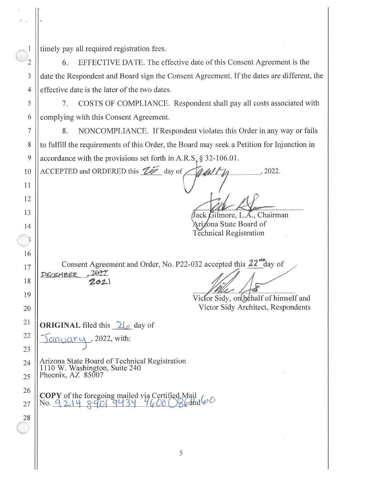timely pay all required registration fees.

3

 $\overline{4}$ 

5

6

 $\overline{7}$ 

8

9

10

11

12

13

14

 $\overline{5}$ 

16

17

18

19

20

21

22

23

24

25

26

27

28

EFFECTIVE DATE. The effective date of this Consent Agreement is the 6. date the Respondent and Board sign the Consent Agreement. If the dates are different, the effective date is the later of the two dates.

COSTS OF COMPLIANCE. Respondent shall pay all costs associated with 7. complying with this Consent Agreement.

NONCOMPLIANCE. If Respondent violates this Order in any way or fails 8. to fulfill the requirements of this Order, the Board may seek a Petition for Injunction in accordance with the provisions set forth in A.R.S.  $\S$  32-106.01.

ACCEPTED and ORDERED this  $\mathbb{Z}$  day of 2022.  $\frac{d}{d}$ 

Jack Gilmore, L.A., Chairman Arizona State Board of **Technical Registration** 

Consent Agreement and Order, No. P22-032 accepted this 22<sup>"</sup>day of  $2022$ DECEMBER  $2021$ 

Victor Sidy, on behalf of himself and Victor Sidy Architect, Respondents

**ORIGINAL** filed this  $2\sqrt{a}$  day of

 $\alpha$ nvary, 2022, with:

Arizona State Board of Technical Registration 1110 W. Washington, Suite 240<br>Phoenix, AZ 85007

**COPY** of the foregoing mailed via Certified Mail  $4600086$ ahd $60$  $No. 921489019434$ 

5